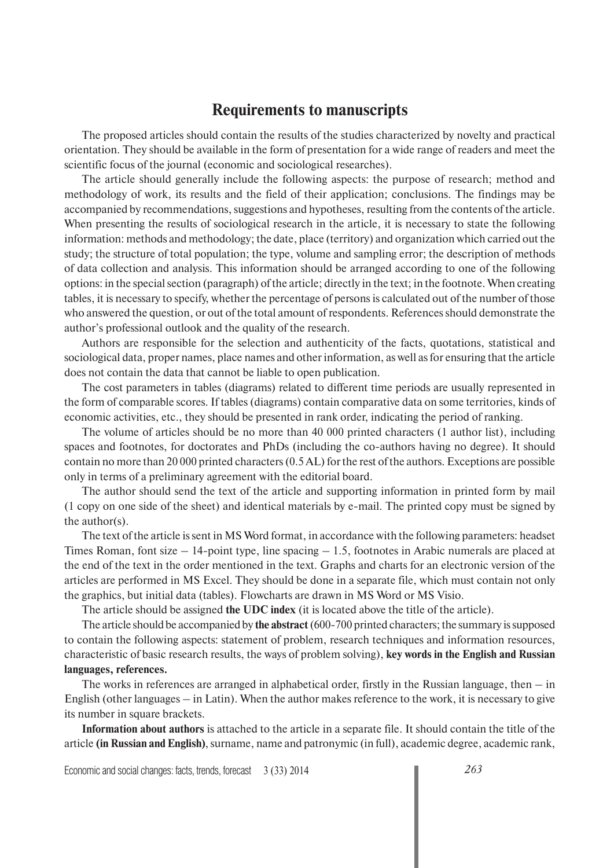## **Requirements to manuscripts**

The proposed articles should contain the results of the studies characterized by novelty and practical orientation. They should be available in the form of presentation for a wide range of readers and meet the scientific focus of the journal (economic and sociological researches).

The article should generally include the following aspects: the purpose of research; method and methodology of work, its results and the field of their application; conclusions. The findings may be accompanied by recommendations, suggestions and hypotheses, resulting from the contents of the article. When presenting the results of sociological research in the article, it is necessary to state the following information: methods and methodology; the date, place (territory) and organization which carried out the study; the structure of total population; the type, volume and sampling error; the description of methods of data collection and analysis. This information should be arranged according to one of the following options: in the special section (paragraph) of the article; directly in the text; in the footnote. When creating tables, it is necessary to specify, whether the percentage of persons is calculated out of the number of those who answered the question, or out of the total amount of respondents. References should demonstrate the author's professional outlook and the quality of the research.

Authors are responsible for the selection and authenticity of the facts, quotations, statistical and sociological data, proper names, place names and other information, as well as for ensuring that the article does not contain the data that cannot be liable to open publication.

The cost parameters in tables (diagrams) related to different time periods are usually represented in the form of comparable scores. If tables (diagrams) contain comparative data on some territories, kinds of economic activities, etc., they should be presented in rank order, indicating the period of ranking.

The volume of articles should be no more than 40 000 printed characters (1 author list), including spaces and footnotes, for doctorates and PhDs (including the co-authors having no degree). It should contain no more than 20 000 printed characters (0.5 AL) for the rest of the authors. Exceptions are possible only in terms of a preliminary agreement with the editorial board.

The author should send the text of the article and supporting information in printed form by mail (1 copy on one side of the sheet) and identical materials by e-mail. The printed copy must be signed by the author(s).

The text of the article is sent in MS Word format, in accordance with the following parameters: headset Times Roman, font size  $-14$ -point type, line spacing  $-1.5$ , footnotes in Arabic numerals are placed at the end of the text in the order mentioned in the text. Graphs and charts for an electronic version of the articles are performed in MS Excel. They should be done in a separate file, which must contain not only the graphics, but initial data (tables). Flowcharts are drawn in MS Word or MS Visio.

The article should be assigned **the UDC index** (it is located above the title of the article).

The article should be accompanied by **the abstract** (600-700 printed characters; the summary is supposed to contain the following aspects: statement of problem, research techniques and information resources, characteristic of basic research results, the ways of problem solving), **key words in the English and Russian languages, references.** 

The works in references are arranged in alphabetical order, firstly in the Russian language, then  $-$  in English (other languages – in Latin). When the author makes reference to the work, it is necessary to give its number in square brackets.

**Information about authors** is attached to the article in a separate file. It should contain the title of the article **(in Russian and English)**, surname, name and patronymic (in full), academic degree, academic rank,